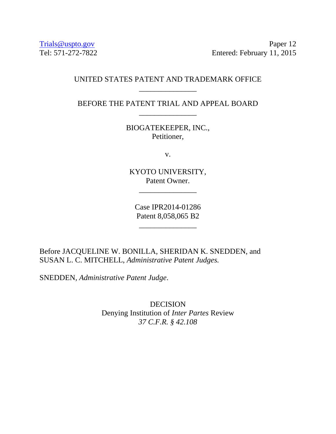[Trials@uspto.gov](mailto:Trials@uspto.gov) Paper 12 Tel: 571-272-7822 Entered: February 11, 2015

### UNITED STATES PATENT AND TRADEMARK OFFICE \_\_\_\_\_\_\_\_\_\_\_\_\_\_\_

BEFORE THE PATENT TRIAL AND APPEAL BOARD \_\_\_\_\_\_\_\_\_\_\_\_\_\_\_

> BIOGATEKEEPER, INC., Petitioner,

> > v.

KYOTO UNIVERSITY, Patent Owner.

\_\_\_\_\_\_\_\_\_\_\_\_\_\_\_

Case IPR2014-01286 Patent 8,058,065 B2

\_\_\_\_\_\_\_\_\_\_\_\_\_\_\_

Before JACQUELINE W. BONILLA, SHERIDAN K. SNEDDEN, and SUSAN L. C. MITCHELL, *Administrative Patent Judges.* 

SNEDDEN, *Administrative Patent Judge*.

DECISION Denying Institution of *Inter Partes* Review *37 C.F.R. § 42.108*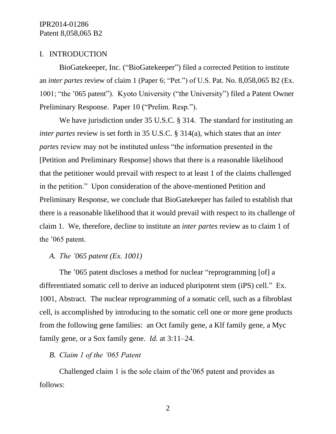### I. INTRODUCTION

BioGatekeeper, Inc. ("BioGatekeeper") filed a corrected Petition to institute an *inter partes* review of claim 1 (Paper 6; "Pet.") of U.S. Pat. No. 8,058,065 B2 (Ex. 1001; "the '065 patent"). Kyoto University ("the University") filed a Patent Owner Preliminary Response. Paper 10 ("Prelim. Resp.").

We have jurisdiction under 35 U.S.C. § 314. The standard for instituting an *inter partes* review is set forth in 35 U.S.C. § 314(a), which states that an *inter partes* review may not be instituted unless "the information presented in the [Petition and Preliminary Response] shows that there is a reasonable likelihood that the petitioner would prevail with respect to at least 1 of the claims challenged in the petition." Upon consideration of the above-mentioned Petition and Preliminary Response, we conclude that BioGatekeeper has failed to establish that there is a reasonable likelihood that it would prevail with respect to its challenge of claim 1. We, therefore, decline to institute an *inter partes* review as to claim 1 of the '065 patent.

## *A. The '065 patent (Ex. 1001)*

The '065 patent discloses a method for nuclear "reprogramming [of] a differentiated somatic cell to derive an induced pluripotent stem (iPS) cell." Ex. 1001, Abstract. The nuclear reprogramming of a somatic cell, such as a fibroblast cell, is accomplished by introducing to the somatic cell one or more gene products from the following gene families: an Oct family gene, a Klf family gene, a Myc family gene, or a Sox family gene. *Id.* at 3:11–24.

### *B. Claim 1 of the '065 Patent*

Challenged claim 1 is the sole claim of the'065 patent and provides as follows: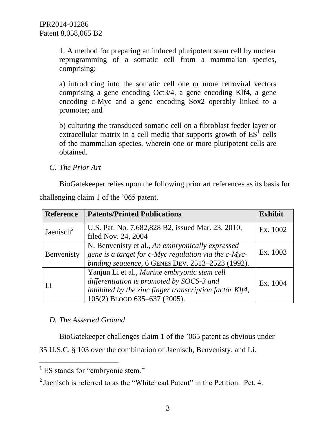1. A method for preparing an induced pluripotent stem cell by nuclear reprogramming of a somatic cell from a mammalian species, comprising:

a) introducing into the somatic cell one or more retroviral vectors comprising a gene encoding Oct3/4, a gene encoding Klf4, a gene encoding c-Myc and a gene encoding Sox2 operably linked to a promoter; and

b) culturing the transduced somatic cell on a fibroblast feeder layer or extracellular matrix in a cell media that supports growth of  $ES<sup>I</sup>$  cells of the mammalian species, wherein one or more pluripotent cells are obtained.

*C. The Prior Art*

BioGatekeeper relies upon the following prior art references as its basis for challenging claim 1 of the '065 patent.

| <b>Reference</b>      | <b>Patents/Printed Publications</b>                                                                                                                                                  | <b>Exhibit</b> |
|-----------------------|--------------------------------------------------------------------------------------------------------------------------------------------------------------------------------------|----------------|
| Jaenisch <sup>2</sup> | U.S. Pat. No. 7,682,828 B2, issued Mar. 23, 2010,<br>filed Nov. 24, 2004                                                                                                             | Ex. 1002       |
| Benvenisty            | N. Benvenisty et al., An embryonically expressed<br>gene is a target for c-Myc regulation via the c-Myc-<br>binding sequence, 6 GENES DEV. 2513-2523 (1992).                         | Ex. 1003       |
| Li                    | Yanjun Li et al., Murine embryonic stem cell<br>differentiation is promoted by SOCS-3 and<br>inhibited by the zinc finger transcription factor Klf4,<br>105(2) BLOOD 635-637 (2005). | Ex. 1004       |

# *D. The Asserted Ground*

BioGatekeeper challenges claim 1 of the '065 patent as obvious under

35 U.S.C. § 103 over the combination of Jaenisch, Benvenisty, and Li.

 $\overline{a}$ 

<sup>&</sup>lt;sup>1</sup> ES stands for "embryonic stem."

 $2$  Jaenisch is referred to as the "Whitehead Patent" in the Petition. Pet. 4.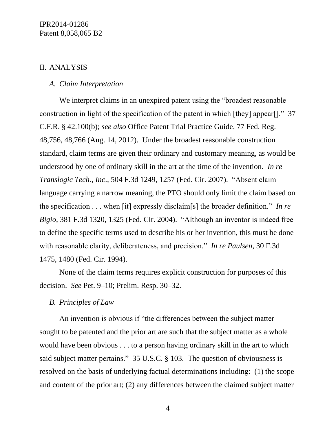### II. ANALYSIS

#### *A. Claim Interpretation*

We interpret claims in an unexpired patent using the "broadest reasonable construction in light of the specification of the patent in which [they] appear[]." 37 C.F.R. § 42.100(b); *see also* Office Patent Trial Practice Guide, 77 Fed. Reg. 48,756, 48,766 (Aug. 14, 2012). Under the broadest reasonable construction standard, claim terms are given their ordinary and customary meaning, as would be understood by one of ordinary skill in the art at the time of the invention. *In re Translogic Tech., Inc*., 504 F.3d 1249, 1257 (Fed. Cir. 2007). "Absent claim language carrying a narrow meaning, the PTO should only limit the claim based on the specification . . . when [it] expressly disclaim[s] the broader definition." *In re Bigio*, 381 F.3d 1320, 1325 (Fed. Cir. 2004). "Although an inventor is indeed free to define the specific terms used to describe his or her invention, this must be done with reasonable clarity, deliberateness, and precision." *In re Paulsen*, 30 F.3d 1475, 1480 (Fed. Cir. 1994).

None of the claim terms requires explicit construction for purposes of this decision. *See* Pet. 9–10; Prelim. Resp. 30–32.

#### *B. Principles of Law*

An invention is obvious if "the differences between the subject matter sought to be patented and the prior art are such that the subject matter as a whole would have been obvious . . . to a person having ordinary skill in the art to which said subject matter pertains." 35 U.S.C. § 103. The question of obviousness is resolved on the basis of underlying factual determinations including: (1) the scope and content of the prior art; (2) any differences between the claimed subject matter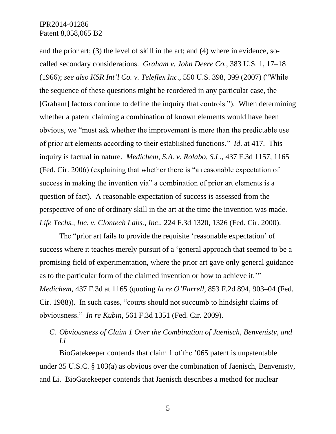and the prior art; (3) the level of skill in the art; and (4) where in evidence, socalled secondary considerations. *Graham v. John Deere Co.*, 383 U.S. 1, 17–18 (1966); *see also KSR Int'l Co. v. Teleflex Inc*., 550 U.S. 398, 399 (2007) ("While the sequence of these questions might be reordered in any particular case, the [Graham] factors continue to define the inquiry that controls."). When determining whether a patent claiming a combination of known elements would have been obvious, we "must ask whether the improvement is more than the predictable use of prior art elements according to their established functions." *Id*. at 417. This inquiry is factual in nature. *Medichem, S.A. v. Rolabo, S.L*., 437 F.3d 1157, 1165 (Fed. Cir. 2006) (explaining that whether there is "a reasonable expectation of success in making the invention via" a combination of prior art elements is a question of fact). A reasonable expectation of success is assessed from the perspective of one of ordinary skill in the art at the time the invention was made. *Life Techs., Inc. v. Clontech Labs., Inc*., 224 F.3d 1320, 1326 (Fed. Cir. 2000).

The "prior art fails to provide the requisite 'reasonable expectation' of success where it teaches merely pursuit of a 'general approach that seemed to be a promising field of experimentation, where the prior art gave only general guidance as to the particular form of the claimed invention or how to achieve it.'" *Medichem*, 437 F.3d at 1165 (quoting *In re O'Farrell*, 853 F.2d 894, 903–04 (Fed. Cir. 1988)). In such cases, "courts should not succumb to hindsight claims of obviousness." *In re Kubin*, 561 F.3d 1351 (Fed. Cir. 2009).

*C. Obviousness of Claim 1 Over the Combination of Jaenisch, Benvenisty, and Li*

BioGatekeeper contends that claim 1 of the '065 patent is unpatentable under 35 U.S.C. § 103(a) as obvious over the combination of Jaenisch, Benvenisty, and Li. BioGatekeeper contends that Jaenisch describes a method for nuclear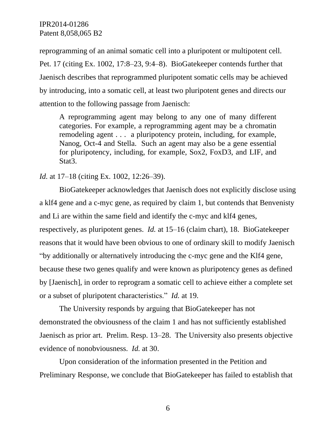reprogramming of an animal somatic cell into a pluripotent or multipotent cell. Pet. 17 (citing Ex. 1002, 17:8–23, 9:4–8). BioGatekeeper contends further that Jaenisch describes that reprogrammed pluripotent somatic cells may be achieved by introducing, into a somatic cell, at least two pluripotent genes and directs our attention to the following passage from Jaenisch:

A reprogramming agent may belong to any one of many different categories. For example, a reprogramming agent may be a chromatin remodeling agent . . . a pluripotency protein, including, for example, Nanog, Oct-4 and Stella. Such an agent may also be a gene essential for pluripotency, including, for example, Sox2, FoxD3, and LIF, and Stat<sub>3</sub>.

*Id.* at 17–18 (citing Ex. 1002, 12:26–39).

BioGatekeeper acknowledges that Jaenisch does not explicitly disclose using a klf4 gene and a c-myc gene, as required by claim 1, but contends that Benvenisty and Li are within the same field and identify the c-myc and klf4 genes, respectively, as pluripotent genes. *Id.* at 15–16 (claim chart), 18. BioGatekeeper reasons that it would have been obvious to one of ordinary skill to modify Jaenisch "by additionally or alternatively introducing the c-myc gene and the Klf4 gene, because these two genes qualify and were known as pluripotency genes as defined by [Jaenisch], in order to reprogram a somatic cell to achieve either a complete set or a subset of pluripotent characteristics." *Id.* at 19.

The University responds by arguing that BioGatekeeper has not demonstrated the obviousness of the claim 1 and has not sufficiently established Jaenisch as prior art. Prelim. Resp. 13–28. The University also presents objective evidence of nonobviousness. *Id.* at 30.

Upon consideration of the information presented in the Petition and Preliminary Response, we conclude that BioGatekeeper has failed to establish that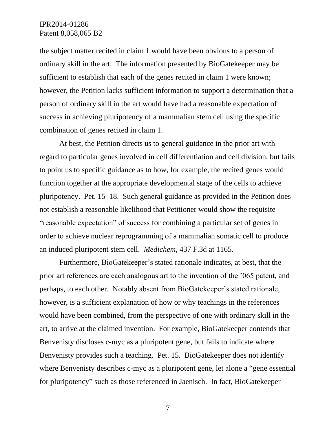### IPR2014-01286 Patent 8,058,065 B2

the subject matter recited in claim 1 would have been obvious to a person of ordinary skill in the art. The information presented by BioGatekeeper may be sufficient to establish that each of the genes recited in claim 1 were known; however, the Petition lacks sufficient information to support a determination that a person of ordinary skill in the art would have had a reasonable expectation of success in achieving pluripotency of a mammalian stem cell using the specific combination of genes recited in claim 1.

At best, the Petition directs us to general guidance in the prior art with regard to particular genes involved in cell differentiation and cell division, but fails to point us to specific guidance as to how, for example, the recited genes would function together at the appropriate developmental stage of the cells to achieve pluripotency. Pet. 15–18. Such general guidance as provided in the Petition does not establish a reasonable likelihood that Petitioner would show the requisite "reasonable expectation" of success for combining a particular set of genes in order to achieve nuclear reprogramming of a mammalian somatic cell to produce an induced pluripotent stem cell. *Medichem*, 437 F.3d at 1165.

Furthermore, BioGatekeeper's stated rationale indicates, at best, that the prior art references are each analogous art to the invention of the '065 patent, and perhaps, to each other. Notably absent from BioGatekeeper's stated rationale, however, is a sufficient explanation of how or why teachings in the references would have been combined, from the perspective of one with ordinary skill in the art, to arrive at the claimed invention. For example, BioGatekeeper contends that Benvenisty discloses c-myc as a pluripotent gene, but fails to indicate where Benvenisty provides such a teaching. Pet. 15. BioGatekeeper does not identify where Benvenisty describes c-myc as a pluripotent gene, let alone a "gene essential" for pluripotency" such as those referenced in Jaenisch. In fact, BioGatekeeper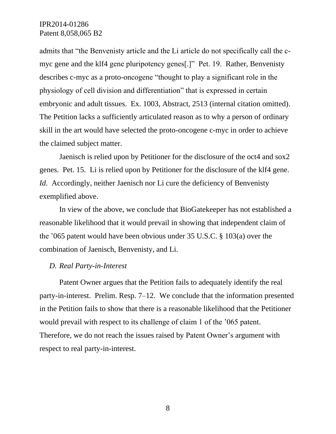## IPR2014-01286 Patent 8,058,065 B2

admits that "the Benvenisty article and the Li article do not specifically call the cmyc gene and the klf4 gene pluripotency genes[.]" Pet. 19. Rather, Benvenisty describes c-myc as a proto-oncogene "thought to play a significant role in the physiology of cell division and differentiation" that is expressed in certain embryonic and adult tissues. Ex. 1003, Abstract, 2513 (internal citation omitted). The Petition lacks a sufficiently articulated reason as to why a person of ordinary skill in the art would have selected the proto-oncogene c-myc in order to achieve the claimed subject matter.

Jaenisch is relied upon by Petitioner for the disclosure of the oct4 and sox2 genes. Pet. 15. Li is relied upon by Petitioner for the disclosure of the klf4 gene. *Id.* Accordingly, neither Jaenisch nor Li cure the deficiency of Benvenisty exemplified above.

In view of the above, we conclude that BioGatekeeper has not established a reasonable likelihood that it would prevail in showing that independent claim of the '065 patent would have been obvious under 35 U.S.C. § 103(a) over the combination of Jaenisch, Benvenisty, and Li.

#### *D. Real Party-in-Interest*

Patent Owner argues that the Petition fails to adequately identify the real party-in-interest. Prelim. Resp. 7–12. We conclude that the information presented in the Petition fails to show that there is a reasonable likelihood that the Petitioner would prevail with respect to its challenge of claim 1 of the '065 patent. Therefore, we do not reach the issues raised by Patent Owner's argument with respect to real party-in-interest.